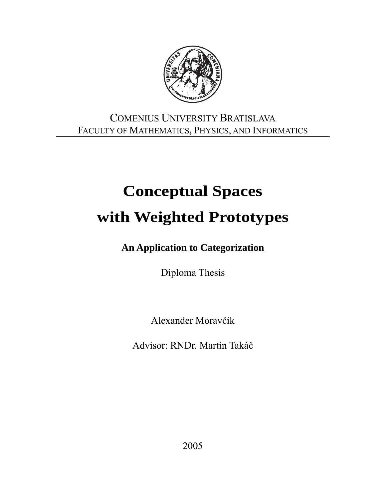

### COMENIUS UNIVERSITY BRATISLAVA FACULTY OF MATHEMATICS, PHYSICS, AND INFORMATICS

# **Conceptual Spaces with Weighted Prototypes**

**An Application to Categorization** 

Diploma Thesis

Alexander Moravčík

Advisor: RNDr. Martin Takáč

2005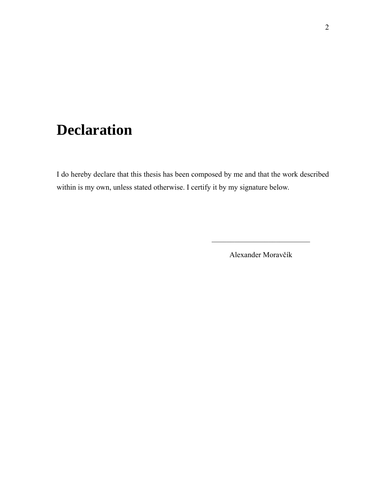## **Declaration**

I do hereby declare that this thesis has been composed by me and that the work described within is my own, unless stated otherwise. I certify it by my signature below.

 $\mathcal{L}_\text{max} = \mathcal{L}_\text{max} = \mathcal{L}_\text{max} = \mathcal{L}_\text{max} = \mathcal{L}_\text{max} = \mathcal{L}_\text{max} = \mathcal{L}_\text{max} = \mathcal{L}_\text{max} = \mathcal{L}_\text{max} = \mathcal{L}_\text{max} = \mathcal{L}_\text{max} = \mathcal{L}_\text{max} = \mathcal{L}_\text{max} = \mathcal{L}_\text{max} = \mathcal{L}_\text{max} = \mathcal{L}_\text{max} = \mathcal{L}_\text{max} = \mathcal{L}_\text{max} = \mathcal{$ 

Alexander Moravčík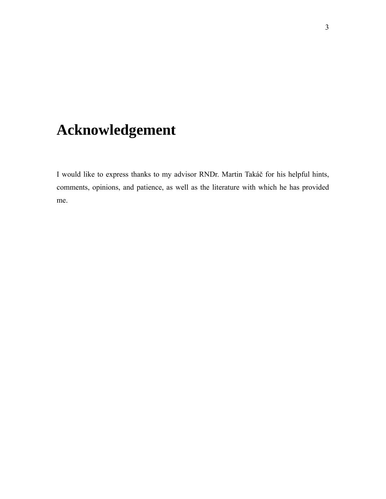## **Acknowledgement**

I would like to express thanks to my advisor RNDr. Martin Takáč for his helpful hints, comments, opinions, and patience, as well as the literature with which he has provided me.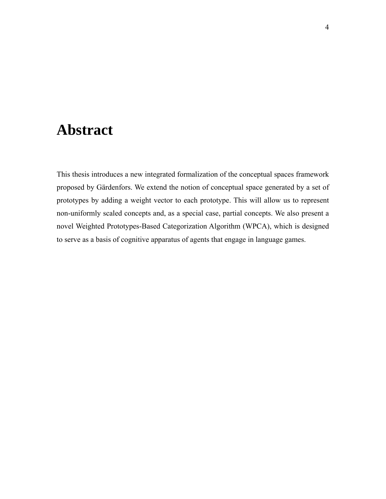## **Abstract**

This thesis introduces a new integrated formalization of the conceptual spaces framework proposed by Gärdenfors. We extend the notion of conceptual space generated by a set of prototypes by adding a weight vector to each prototype. This will allow us to represent non-uniformly scaled concepts and, as a special case, partial concepts. We also present a novel Weighted Prototypes-Based Categorization Algorithm (WPCA), which is designed to serve as a basis of cognitive apparatus of agents that engage in language games.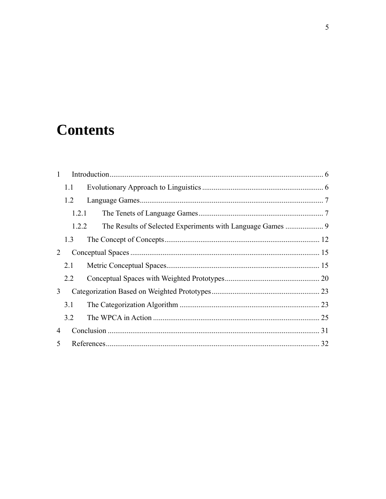## **Contents**

| $\mathbf{1}$ |       |  |  |
|--------------|-------|--|--|
|              | 1.1   |  |  |
|              | 1.2   |  |  |
|              | 1.2.1 |  |  |
|              | 1.2.2 |  |  |
|              | 1.3   |  |  |
| 2            |       |  |  |
|              | 2.1   |  |  |
|              | 2.2   |  |  |
| 3            |       |  |  |
|              | 3.1   |  |  |
|              | 3.2   |  |  |
| 4            |       |  |  |
| 5            |       |  |  |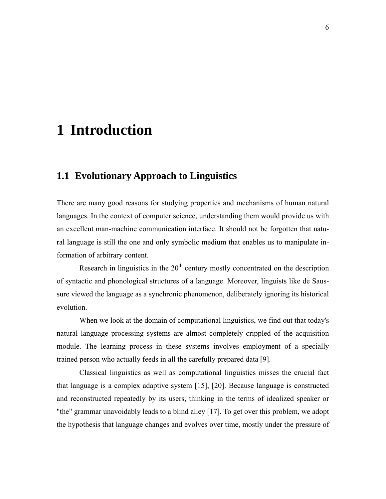## <span id="page-5-1"></span><span id="page-5-0"></span>**1 Introduction**

#### **1.1 Evolutionary Approach to Linguistics**

There are many good reasons for studying properties and mechanisms of human natural languages. In the context of computer science, understanding them would provide us with an excellent man-machine communication interface. It should not be forgotten that natural language is still the one and only symbolic medium that enables us to manipulate information of arbitrary content.

Research in linguistics in the  $20<sup>th</sup>$  century mostly concentrated on the description of syntactic and phonological structures of a language. Moreover, linguists like de Saussure viewed the language as a synchronic phenomenon, deliberately ignoring its historical evolution.

When we look at the domain of computational linguistics, we find out that today's natural language processing systems are almost completely crippled of the acquisition module. The learning process in these systems involves employment of a specially trained person who actually feeds in all the carefully prepared data [\[9\].](#page-32-0)

Classical linguistics as well as computational linguistics misses the crucial fact that language is a complex adaptive system [\[15\],](#page-32-1) [\[20\].](#page-33-0) Because language is constructed and reconstructed repeatedly by its users, thinking in the terms of idealized speaker or "the" grammar unavoidably leads to a blind alley [\[17\].](#page-32-2) To get over this problem, we adopt the hypothesis that language changes and evolves over time, mostly under the pressure of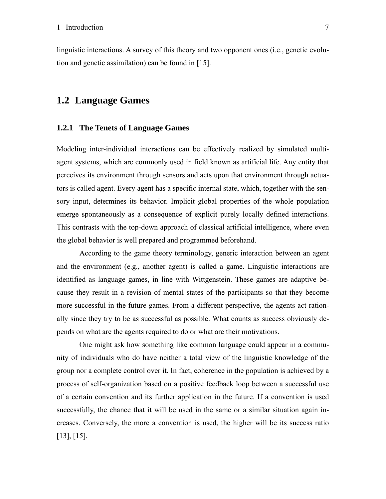<span id="page-6-0"></span>linguistic interactions. A survey of this theory and two opponent ones (i.e., genetic evolution and genetic assimilation) can be found in [\[15\].](#page-32-1)

#### **1.2 Language Games**

#### **1.2.1 The Tenets of Language Games**

Modeling inter-individual interactions can be effectively realized by simulated multiagent systems, which are commonly used in field known as artificial life. Any entity that perceives its environment through sensors and acts upon that environment through actuators is called agent. Every agent has a specific internal state, which, together with the sensory input, determines its behavior. Implicit global properties of the whole population emerge spontaneously as a consequence of explicit purely locally defined interactions. This contrasts with the top-down approach of classical artificial intelligence, where even the global behavior is well prepared and programmed beforehand.

According to the game theory terminology, generic interaction between an agent and the environment (e.g., another agent) is called a game. Linguistic interactions are identified as language games, in line with Wittgenstein. These games are adaptive because they result in a revision of mental states of the participants so that they become more successful in the future games. From a different perspective, the agents act rationally since they try to be as successful as possible. What counts as success obviously depends on what are the agents required to do or what are their motivations.

One might ask how something like common language could appear in a community of individuals who do have neither a total view of the linguistic knowledge of the group nor a complete control over it. In fact, coherence in the population is achieved by a process of self-organization based on a positive feedback loop between a successful use of a certain convention and its further application in the future. If a convention is used successfully, the chance that it will be used in the same or a similar situation again increases. Conversely, the more a convention is used, the higher will be its success ratio [\[13\],](#page-32-3) [\[15\].](#page-32-1)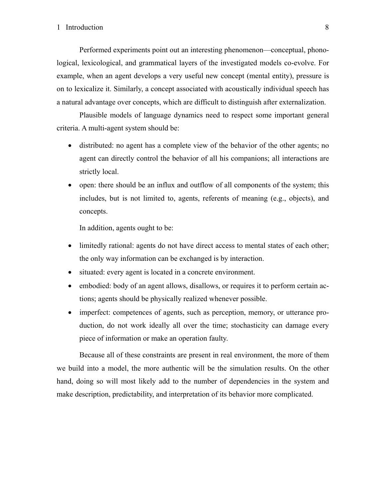#### 1 Introduction 8

Performed experiments point out an interesting phenomenon—conceptual, phonological, lexicological, and grammatical layers of the investigated models co-evolve. For example, when an agent develops a very useful new concept (mental entity), pressure is on to lexicalize it. Similarly, a concept associated with acoustically individual speech has a natural advantage over concepts, which are difficult to distinguish after externalization.

Plausible models of language dynamics need to respect some important general criteria. A multi-agent system should be:

- distributed: no agent has a complete view of the behavior of the other agents; no agent can directly control the behavior of all his companions; all interactions are strictly local.
- open: there should be an influx and outflow of all components of the system; this includes, but is not limited to, agents, referents of meaning (e.g., objects), and concepts.

In addition, agents ought to be:

- limitedly rational: agents do not have direct access to mental states of each other; the only way information can be exchanged is by interaction.
- situated: every agent is located in a concrete environment.
- embodied: body of an agent allows, disallows, or requires it to perform certain actions; agents should be physically realized whenever possible.
- imperfect: competences of agents, such as perception, memory, or utterance production, do not work ideally all over the time; stochasticity can damage every piece of information or make an operation faulty.

Because all of these constraints are present in real environment, the more of them we build into a model, the more authentic will be the simulation results. On the other hand, doing so will most likely add to the number of dependencies in the system and make description, predictability, and interpretation of its behavior more complicated.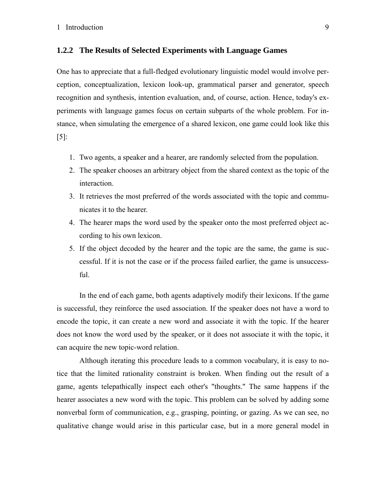#### <span id="page-8-0"></span>**1.2.2 The Results of Selected Experiments with Language Games**

One has to appreciate that a full-fledged evolutionary linguistic model would involve perception, conceptualization, lexicon look-up, grammatical parser and generator, speech recognition and synthesis, intention evaluation, and, of course, action. Hence, today's experiments with language games focus on certain subparts of the whole problem. For instance, when simulating the emergence of a shared lexicon, one game could look like this [\[5\]:](#page-31-1)

- 1. Two agents, a speaker and a hearer, are randomly selected from the population.
- 2. The speaker chooses an arbitrary object from the shared context as the topic of the interaction.
- 3. It retrieves the most preferred of the words associated with the topic and communicates it to the hearer.
- 4. The hearer maps the word used by the speaker onto the most preferred object according to his own lexicon.
- 5. If the object decoded by the hearer and the topic are the same, the game is successful. If it is not the case or if the process failed earlier, the game is unsuccessful.

In the end of each game, both agents adaptively modify their lexicons. If the game is successful, they reinforce the used association. If the speaker does not have a word to encode the topic, it can create a new word and associate it with the topic. If the hearer does not know the word used by the speaker, or it does not associate it with the topic, it can acquire the new topic-word relation.

Although iterating this procedure leads to a common vocabulary, it is easy to notice that the limited rationality constraint is broken. When finding out the result of a game, agents telepathically inspect each other's "thoughts." The same happens if the hearer associates a new word with the topic. This problem can be solved by adding some nonverbal form of communication, e.g., grasping, pointing, or gazing. As we can see, no qualitative change would arise in this particular case, but in a more general model in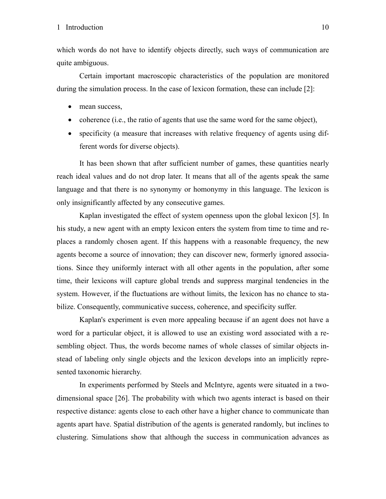which words do not have to identify objects directly, such ways of communication are quite ambiguous.

Certain important macroscopic characteristics of the population are monitored during the simulation process. In the case of lexicon formation, these can include [\[2\]](#page-31-2):

- mean success,
- coherence (i.e., the ratio of agents that use the same word for the same object),
- specificity (a measure that increases with relative frequency of agents using different words for diverse objects).

It has been shown that after sufficient number of games, these quantities nearly reach ideal values and do not drop later. It means that all of the agents speak the same language and that there is no synonymy or homonymy in this language. The lexicon is only insignificantly affected by any consecutive games.

Kaplan investigated the effect of system openness upon the global lexicon [\[5\]](#page-31-1). In his study, a new agent with an empty lexicon enters the system from time to time and replaces a randomly chosen agent. If this happens with a reasonable frequency, the new agents become a source of innovation; they can discover new, formerly ignored associations. Since they uniformly interact with all other agents in the population, after some time, their lexicons will capture global trends and suppress marginal tendencies in the system. However, if the fluctuations are without limits, the lexicon has no chance to stabilize. Consequently, communicative success, coherence, and specificity suffer.

Kaplan's experiment is even more appealing because if an agent does not have a word for a particular object, it is allowed to use an existing word associated with a resembling object. Thus, the words become names of whole classes of similar objects instead of labeling only single objects and the lexicon develops into an implicitly represented taxonomic hierarchy.

In experiments performed by Steels and McIntyre, agents were situated in a twodimensional space [\[26\].](#page-33-1) The probability with which two agents interact is based on their respective distance: agents close to each other have a higher chance to communicate than agents apart have. Spatial distribution of the agents is generated randomly, but inclines to clustering. Simulations show that although the success in communication advances as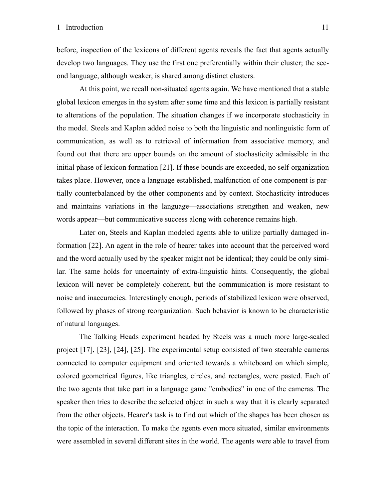before, inspection of the lexicons of different agents reveals the fact that agents actually develop two languages. They use the first one preferentially within their cluster; the second language, although weaker, is shared among distinct clusters.

At this point, we recall non-situated agents again. We have mentioned that a stable global lexicon emerges in the system after some time and this lexicon is partially resistant to alterations of the population. The situation changes if we incorporate stochasticity in the model. Steels and Kaplan added noise to both the linguistic and nonlinguistic form of communication, as well as to retrieval of information from associative memory, and found out that there are upper bounds on the amount of stochasticity admissible in the initial phase of lexicon formation [\[21\].](#page-33-2) If these bounds are exceeded, no self-organization takes place. However, once a language established, malfunction of one component is partially counterbalanced by the other components and by context. Stochasticity introduces and maintains variations in the language—associations strengthen and weaken, new words appear—but communicative success along with coherence remains high.

Later on, Steels and Kaplan modeled agents able to utilize partially damaged information [\[22\].](#page-33-3) An agent in the role of hearer takes into account that the perceived word and the word actually used by the speaker might not be identical; they could be only similar. The same holds for uncertainty of extra-linguistic hints. Consequently, the global lexicon will never be completely coherent, but the communication is more resistant to noise and inaccuracies. Interestingly enough, periods of stabilized lexicon were observed, followed by phases of strong reorganization. Such behavior is known to be characteristic of natural languages.

The Talking Heads experiment headed by Steels was a much more large-scaled project [\[17\]](#page-32-2), [\[23\],](#page-33-4) [\[24\],](#page-33-5) [\[25\]](#page-33-6). The experimental setup consisted of two steerable cameras connected to computer equipment and oriented towards a whiteboard on which simple, colored geometrical figures, like triangles, circles, and rectangles, were pasted. Each of the two agents that take part in a language game "embodies" in one of the cameras. The speaker then tries to describe the selected object in such a way that it is clearly separated from the other objects. Hearer's task is to find out which of the shapes has been chosen as the topic of the interaction. To make the agents even more situated, similar environments were assembled in several different sites in the world. The agents were able to travel from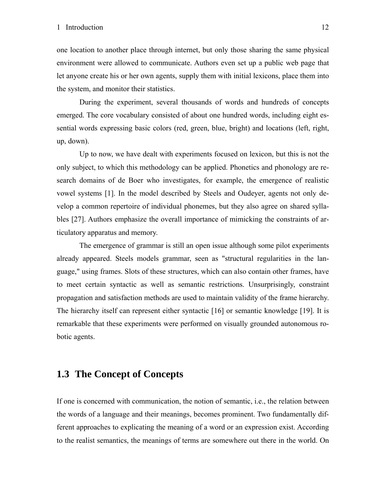<span id="page-11-0"></span>one location to another place through internet, but only those sharing the same physical environment were allowed to communicate. Authors even set up a public web page that let anyone create his or her own agents, supply them with initial lexicons, place them into the system, and monitor their statistics.

During the experiment, several thousands of words and hundreds of concepts emerged. The core vocabulary consisted of about one hundred words, including eight essential words expressing basic colors (red, green, blue, bright) and locations (left, right, up, down).

Up to now, we have dealt with experiments focused on lexicon, but this is not the only subject, to which this methodology can be applied. Phonetics and phonology are research domains of de Boer who investigates, for example, the emergence of realistic vowel systems [\[1\]](#page-31-3). In the model described by Steels and Oudeyer, agents not only develop a common repertoire of individual phonemes, but they also agree on shared syllables [\[27\]](#page-33-7). Authors emphasize the overall importance of mimicking the constraints of articulatory apparatus and memory.

The emergence of grammar is still an open issue although some pilot experiments already appeared. Steels models grammar, seen as "structural regularities in the language," using frames. Slots of these structures, which can also contain other frames, have to meet certain syntactic as well as semantic restrictions. Unsurprisingly, constraint propagation and satisfaction methods are used to maintain validity of the frame hierarchy. The hierarchy itself can represent either syntactic [\[16\]](#page-32-4) or semantic knowledge [\[19\]](#page-32-5). It is remarkable that these experiments were performed on visually grounded autonomous robotic agents.

#### <span id="page-11-1"></span>**1.3 The Concept of Concepts**

If one is concerned with communication, the notion of semantic, i.e., the relation between the words of a language and their meanings, becomes prominent. Two fundamentally different approaches to explicating the meaning of a word or an expression exist. According to the realist semantics, the meanings of terms are somewhere out there in the world. On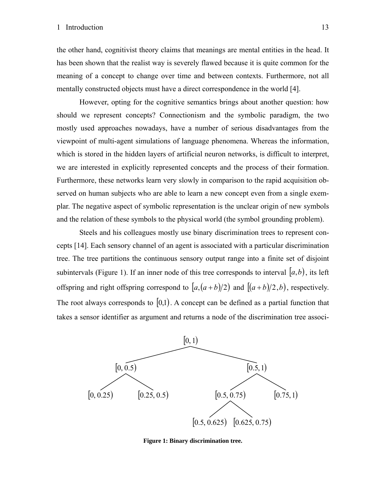the other hand, cognitivist theory claims that meanings are mental entities in the head. It has been shown that the realist way is severely flawed because it is quite common for the meaning of a concept to change over time and between contexts. Furthermore, not all mentally constructed objects must have a direct correspondence in the world [\[4\]](#page-31-4).

However, opting for the cognitive semantics brings about another question: how should we represent concepts? Connectionism and the symbolic paradigm, the two mostly used approaches nowadays, have a number of serious disadvantages from the viewpoint of multi-agent simulations of language phenomena. Whereas the information, which is stored in the hidden layers of artificial neuron networks, is difficult to interpret, we are interested in explicitly represented concepts and the process of their formation. Furthermore, these networks learn very slowly in comparison to the rapid acquisition observed on human subjects who are able to learn a new concept even from a single exemplar. The negative aspect of symbolic representation is the unclear origin of new symbols and the relation of these symbols to the physical world (the symbol grounding problem).

Steels and his colleagues mostly use binary discrimination trees to represent concepts [\[14\].](#page-32-6) Each sensory channel of an agent is associated with a particular discrimination tree. The tree partitions the continuous sensory output range into a finite set of disjoint subintervals (Figure 1). If an inner node of this tree corresponds to interval  $(a,b)$ , its left offspring and right offspring correspond to  $\left| a, (a+b)/2 \right|$  and  $\left| (a+b)/2, b \right|$ , respectively. The root always corresponds to  $[0,1)$ . A concept can be defined as a partial function that takes a sensor identifier as argument and returns a node of the discrimination tree associ-



**Figure 1: Binary discrimination tree.**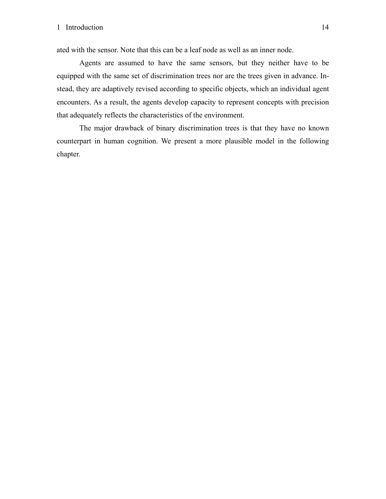ated with the sensor. Note that this can be a leaf node as well as an inner node.

Agents are assumed to have the same sensors, but they neither have to be equipped with the same set of discrimination trees nor are the trees given in advance. Instead, they are adaptively revised according to specific objects, which an individual agent encounters. As a result, the agents develop capacity to represent concepts with precision that adequately reflects the characteristics of the environment.

The major drawback of binary discrimination trees is that they have no known counterpart in human cognition. We present a more plausible model in the following chapter.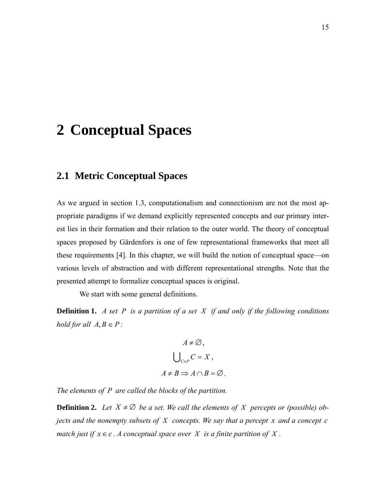## <span id="page-14-1"></span><span id="page-14-0"></span>**2 Conceptual Spaces**

#### **2.1 Metric Conceptual Spaces**

As we argued in section [1.3,](#page-11-1) computationalism and connectionism are not the most appropriate paradigms if we demand explicitly represented concepts and our primary interest lies in their formation and their relation to the outer world. The theory of conceptual spaces proposed by Gärdenfors is one of few representational frameworks that meet all these requirements [\[4\]](#page-31-4). In this chapter, we will build the notion of conceptual space—on various levels of abstraction and with different representational strengths. Note that the presented attempt to formalize conceptual spaces is original.

We start with some general definitions.

**Definition 1.** *A set P is a partition of a set X if and only if the following conditions hold for all*  $A, B \in P$ :

$$
A \neq \emptyset,
$$
  

$$
\bigcup_{C \in P} C = X,
$$
  

$$
A \neq B \Rightarrow A \cap B = \emptyset.
$$

*The elements of P are called the blocks of the partition.* 

**Definition 2.** Let  $X \neq \emptyset$  be a set. We call the elements of X percepts or (possible) ob*jects and the nonempty subsets of X concepts. We say that a percept x and a concept c match just if*  $x \in c$ . A conceptual space over X is a finite partition of X.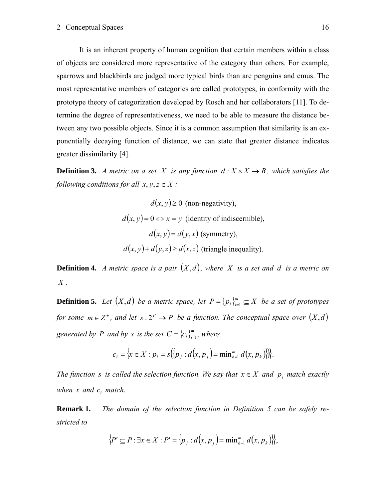It is an inherent property of human cognition that certain members within a class of objects are considered more representative of the category than others. For example, sparrows and blackbirds are judged more typical birds than are penguins and emus. The most representative members of categories are called prototypes, in conformity with the prototype theory of categorization developed by Rosch and her collaborators [\[11\].](#page-32-7) To determine the degree of representativeness, we need to be able to measure the distance between any two possible objects. Since it is a common assumption that similarity is an exponentially decaying function of distance, we can state that greater distance indicates greater dissimilarity [\[4\]](#page-31-4).

**Definition 3.** *A metric on a set X is any function*  $d: X \times X \rightarrow R$ *, which satisfies the following conditions for all*  $x, y, z \in X$ *:* 

$$
d(x, y) \ge 0
$$
 (non-negativity),  

$$
d(x, y) = 0 \Leftrightarrow x = y
$$
 (identity of indiscernible),  

$$
d(x, y) = d(y, x)
$$
 (symmetry),  

$$
d(x, y) + d(y, z) \ge d(x, z)
$$
 (triangle inequality).

**Definition 4.** *A metric space is a pair*  $(X,d)$ *, where* X *is a set and d is a metric on X .* 

<span id="page-15-0"></span>**Definition 5.** *Let*  $(X,d)$  *be a metric space, let*  $P = \{p_i\}_{i=1}^m \subseteq X$  *be a set of prototypes for some*  $m \in \mathbb{Z}^+$ *, and let*  $s: 2^P \to P$  *be a function. The conceptual space over*  $(X,d)$ *generated by P and by s is the set*  $C = \{c_i\}_{i=1}^m$ *, where* 

$$
c_i = \{x \in X : p_i = s(\{p_j : d(x, p_j) = \min_{k=1}^m d(x, p_k)\})\}.
$$

*The function s is called the selection function. We say that*  $x \in X$  *and*  $p_i$  *match exactly when*  $x$  *and*  $c_i$  *match.* 

**Remark 1.** *The domain of the selection function in [Definition 5](#page-15-0) can be safely restricted to* 

$$
\{P' \subseteq P : \exists x \in X : P' = \{p_j : d(x, p_j) = \min_{k=1}^m d(x, p_k)\},\}
$$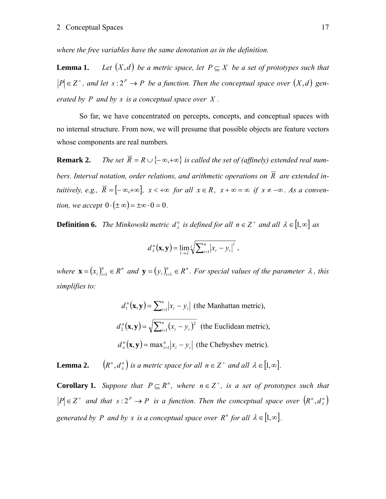*where the free variables have the same denotation as in the definition.* 

**Lemma 1.** *Let*  $(X,d)$  *be a metric space, let*  $P \subseteq X$  *be a set of prototypes such that*  $P \in \mathbb{Z}^+$ , and let  $s: 2^P \to P$  be a function. Then the conceptual space over  $(X,d)$  gen*erated by P and by s is a conceptual space over X .* 

So far, we have concentrated on percepts, concepts, and conceptual spaces with no internal structure. From now, we will presume that possible objects are feature vectors whose components are real numbers.

**Remark 2.** *The set*  $\overline{R} = R \cup \{-\infty, +\infty\}$  is called the set of (affinely) extended real numbers. Interval notation, order relations, and arithmetic operations on  $\overline{R}$  are extended in*tuitively, e.g.,*  $\overline{R} = [-\infty, +\infty]$ ,  $x < +\infty$  *for all*  $x \in R$ ,  $x + \infty = \infty$  *if*  $x \neq -\infty$ *. As a convention, we accept*  $0 \cdot (\pm \infty) = \pm \infty \cdot 0 = 0$ .

**Definition 6.** *The Minkowski metric*  $d_{\lambda}^{n}$  *is defined for all*  $n \in \mathbb{Z}^{+}$  *and all*  $\lambda \in [1, \infty]$  *as* 

$$
d_{\lambda}^{n}(\mathbf{x}, \mathbf{y}) = \lim_{l \to \lambda} \sqrt{l} \sum_{i=1}^{n} |x_{i} - y_{i}|^{l},
$$

*where*  $\mathbf{x} = (x_i)_{i=1}^n \in R^n$  *and*  $\mathbf{y} = (y_i)_{i=1}^n \in R^n$ . For special values of the parameter  $\lambda$ , this *simplifies to:* 

$$
d_1^n(\mathbf{x}, \mathbf{y}) = \sum_{i=1}^n |x_i - y_i| \text{ (the Manhattan metric)},
$$
  
\n
$$
d_2^n(\mathbf{x}, \mathbf{y}) = \sqrt{\sum_{i=1}^n (x_i - y_i)^2} \text{ (the Euclidean metric)},
$$
  
\n
$$
d_\infty^n(\mathbf{x}, \mathbf{y}) = \max_{i=1}^n |x_i - y_i| \text{ (the Chebyshev metric)}.
$$

**Lemma 2.**  $(R^n, d^n)$  *is a metric space for all*  $n \in \mathbb{Z}^+$  *and all*  $\lambda \in [1, \infty]$ *.* 

**Corollary 1.** *Suppose that*  $P \subseteq R^n$ *, where*  $n \in \mathbb{Z}^+$ *, is a set of prototypes such that*  $|P| \in Z^+$  and that  $s: 2^P \to P$  is a function. Then the conceptual space over  $(R^n, d^n)$ *generated by P and by s is a conceptual space over R<sup>n</sup> for all*  $\lambda \in [1, \infty]$ *.*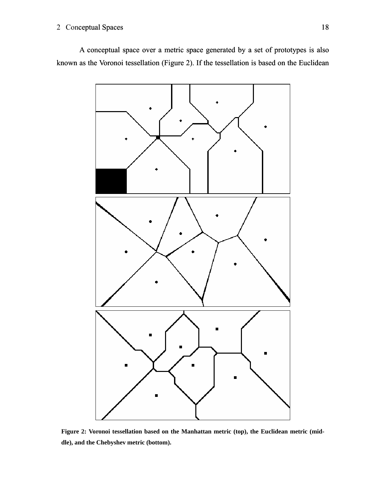#### 2 Conceptual Spaces 18

A conceptual space over a metric space generated by a set of prototypes is also known as the Voronoi tessellation (Figure 2). If the tessellation is based on the Euclidean



**Figure 2: Voronoi tessellation based on the Manhattan metric (top), the Euclidean metric (middle), and the Chebyshev metric (bottom).**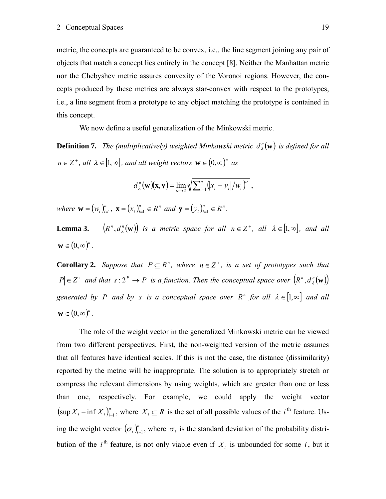metric, the concepts are guaranteed to be convex, i.e., the line segment joining any pair of objects that match a concept lies entirely in the concept [\[8\].](#page-31-5) Neither the Manhattan metric nor the Chebyshev metric assures convexity of the Voronoi regions. However, the concepts produced by these metrics are always star-convex with respect to the prototypes, i.e., a line segment from a prototype to any object matching the prototype is contained in this concept.

We now define a useful generalization of the Minkowski metric.

**Definition 7.** *The (multiplicatively) weighted Minkowski metric*  $d_{\lambda}^{n}(\mathbf{w})$  *is defined for all*  $n \in \mathbb{Z}^+$ , all  $\lambda \in [1, \infty]$ , and all weight vectors  $\mathbf{w} \in (0, \infty)^n$  as

$$
d_{\lambda}^{n}(\mathbf{w})(\mathbf{x}, \mathbf{y}) = \lim_{\alpha \to \lambda} \sqrt{\sum_{i=1}^{n} (x_{i} - y_{i})/w_{i}}^{\alpha},
$$

*where*  $\mathbf{w} = (w_i)_{i=1}^n$ ,  $\mathbf{x} = (x_i)_{i=1}^n \in R^n$  and  $\mathbf{y} = (y_i)_{i=1}^n \in R^n$ .

**Lemma 3.**  $(R^n, d_\lambda^n(\mathbf{w}))$  *is a metric space for all n*  $\in \mathbb{Z}^+$ *, all*  $\lambda \in [1, \infty]$ *, and all*  $\mathbf{w} \in (0, \infty)^n$ .

**Corollary 2.** *Suppose that*  $P \subseteq R^n$ *, where*  $n \in \mathbb{Z}^+$ *, is a set of prototypes such that*  $|P| \in \mathbb{Z}^+$  and that  $s : 2^P \to P$  is a function. Then the conceptual space over  $(R^n, d^n_k(\mathbf{w}))$ *generated by P and by s is a conceptual space over R<sup>n</sup> for all*  $\lambda \in [1, \infty]$  *and all*  $\mathbf{w} \in (0, \infty)^n$ .

The role of the weight vector in the generalized Minkowski metric can be viewed from two different perspectives. First, the non-weighted version of the metric assumes that all features have identical scales. If this is not the case, the distance (dissimilarity) reported by the metric will be inappropriate. The solution is to appropriately stretch or compress the relevant dimensions by using weights, which are greater than one or less than one, respectively. For example, we could apply the weight vector  $(\sup X_i - \inf X_i)_{i=1}^n$ , where  $X_i \subseteq R$  is the set of all possible values of the *i*<sup>th</sup> feature. Using the weight vector  $(\sigma_i)_{i=1}^n$ , where  $\sigma_i$  is the standard deviation of the probability distribution of the *i*<sup>th</sup> feature, is not only viable even if  $X_i$  is unbounded for some *i*, but it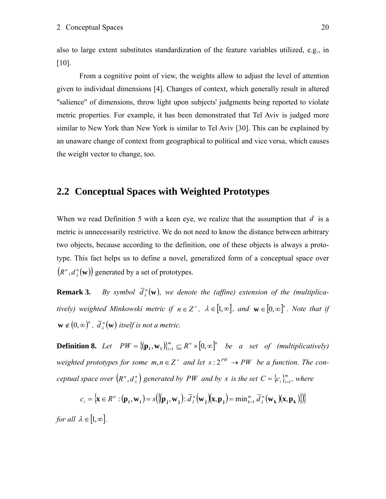<span id="page-19-0"></span>also to large extent substitutes standardization of the feature variables utilized, e.g., in [\[10\].](#page-32-8)

From a cognitive point of view, the weights allow to adjust the level of attention given to individual dimensions [\[4\].](#page-31-4) Changes of context, which generally result in altered "salience" of dimensions, throw light upon subjects' judgments being reported to violate metric properties. For example, it has been demonstrated that Tel Aviv is judged more similar to New York than New York is similar to Tel Aviv [\[30\]](#page-33-8). This can be explained by an unaware change of context from geographical to political and vice versa, which causes the weight vector to change, too.

#### **2.2 Conceptual Spaces with Weighted Prototypes**

When we read [Definition 5](#page-15-0) with a keen eye, we realize that the assumption that  $d$  is a metric is unnecessarily restrictive. We do not need to know the distance between arbitrary two objects, because according to the definition, one of these objects is always a prototype. This fact helps us to define a novel, generalized form of a conceptual space over  $(R^n, d^n({\bf w}))$  generated by a set of prototypes.

**Remark 3.** By symbol  $\overline{d}_{\lambda}^{n}(\mathbf{w})$ , we denote the (affine) extension of the (multiplica*tively)* weighted Minkowski metric if  $n \in \mathbb{Z}^+$ ,  $\lambda \in [1, \infty]$ , and  $\mathbf{w} \in [0, \infty]^n$ . Note that if  $\mathbf{w} \notin (0, \infty)^n$ ,  $\overline{d}_i^{\,n}(\mathbf{w})$  itself is not a metric.

<span id="page-19-1"></span>**Definition 8.** *Let*  $PW = \{(\mathbf{p}_i, \mathbf{w}_i)\}_{i=1}^m \subseteq R^n \times [0, \infty]^n$  *be a set of (multiplicatively) weighted prototypes for some*  $m, n \in \mathbb{Z}^+$  *and let*  $s: 2^{PW} \rightarrow PW$  *be a function. The conceptual space over*  $(R^n, d_{\lambda}^n)$  generated by PW and by s is the set  $C = \{c_i\}_{i=1}^m$ , where

$$
c_i = \{ \mathbf{x} \in R^n : (\mathbf{p}_i, \mathbf{w}_i) = s(\{ (\mathbf{p}_j, \mathbf{w}_j) : \overline{d}_{\lambda}^n(\mathbf{w}_j)(\mathbf{x}, \mathbf{p}_j) = \min_{k=1}^m \overline{d}_{\lambda}^n(\mathbf{w}_k)(\mathbf{x}, \mathbf{p}_k) \} \}
$$

*for all*  $\lambda \in [1, \infty]$ .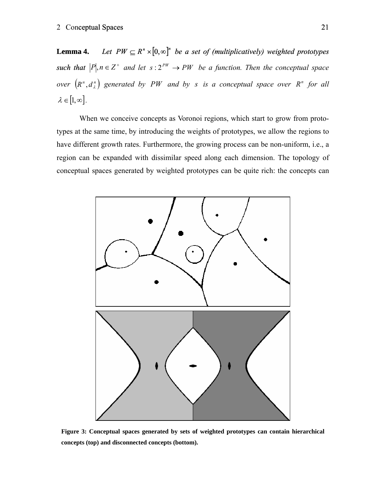**Lemma 4.** *Let PW*  $\subseteq$   $R^n \times [0, \infty]^n$  *be a set of (multiplicatively) weighted prototypes such that*  $|P|, n \in \mathbb{Z}^+$  *and let*  $s: 2^{PW} \to PW$  *be a function. Then the conceptual space over*  $(R^n, d^n)$  generated by PW and by s is a conceptual space over  $R^n$  for all  $\lambda \in [1, \infty]$ .

When we conceive concepts as Voronoi regions, which start to grow from prototypes at the same time, by introducing the weights of prototypes, we allow the regions to have different growth rates. Furthermore, the growing process can be non-uniform, i.e., a region can be expanded with dissimilar speed along each dimension. The topology of conceptual spaces generated by weighted prototypes can be quite rich: the concepts can



**Figure 3: Conceptual spaces generated by sets of weighted prototypes can contain hierarchical concepts (top) and disconnected concepts (bottom).**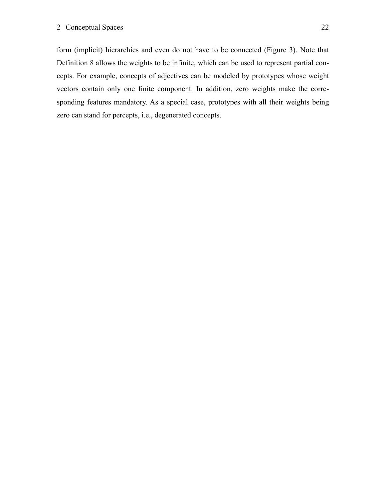form (implicit) hierarchies and even do not have to be connected (Figure 3). Note that [Definition 8](#page-19-1) allows the weights to be infinite, which can be used to represent partial concepts. For example, concepts of adjectives can be modeled by prototypes whose weight vectors contain only one finite component. In addition, zero weights make the corresponding features mandatory. As a special case, prototypes with all their weights being zero can stand for percepts, i.e., degenerated concepts.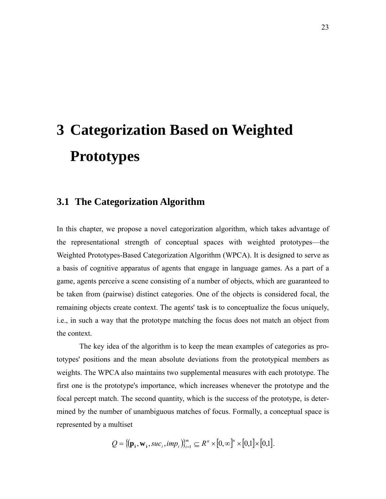# <span id="page-22-1"></span><span id="page-22-0"></span>**3 Categorization Based on Weighted Prototypes**

#### **3.1 The Categorization Algorithm**

In this chapter, we propose a novel categorization algorithm, which takes advantage of the representational strength of conceptual spaces with weighted prototypes—the Weighted Prototypes-Based Categorization Algorithm (WPCA). It is designed to serve as a basis of cognitive apparatus of agents that engage in language games. As a part of a game, agents perceive a scene consisting of a number of objects, which are guaranteed to be taken from (pairwise) distinct categories. One of the objects is considered focal, the remaining objects create context. The agents' task is to conceptualize the focus uniquely, i.e., in such a way that the prototype matching the focus does not match an object from the context.

The key idea of the algorithm is to keep the mean examples of categories as prototypes' positions and the mean absolute deviations from the prototypical members as weights. The WPCA also maintains two supplemental measures with each prototype. The first one is the prototype's importance, which increases whenever the prototype and the focal percept match. The second quantity, which is the success of the prototype, is determined by the number of unambiguous matches of focus. Formally, a conceptual space is represented by a multiset

$$
Q = \{(\mathbf{p}_i, \mathbf{w}_i, \mathit{succ}_i, \mathit{imp}_i)\}_{i=1}^m \subseteq R^n \times [0, \infty]^n \times [0, 1] \times [0, 1].
$$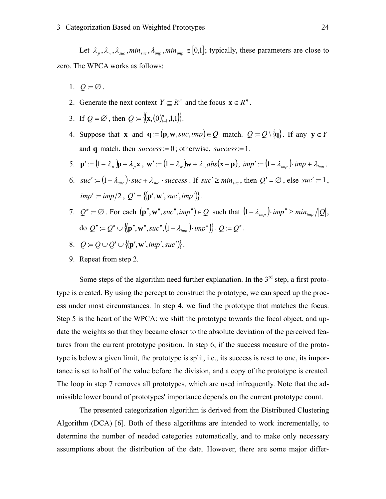Let  $\lambda_p$ ,  $\lambda_w$ ,  $\lambda_{\textit{succ}}$ ,  $\min_{\textit{succ}}$ ,  $\lambda_{\textit{imp}}$ ,  $\min_{\textit{imp}} \in [0,1]$ ; typically, these parameters are close to zero. The WPCA works as follows:

- 1.  $Q \equiv \emptyset$ .
- 2. Generate the next context  $Y \subset R^n$  and the focus  $\mathbf{x} \in R^n$ .
- 3. If  $Q = \emptyset$ , then  $Q = \{ (\mathbf{x}, (0)_{i=1}^n, 1,1) \}$ .
- 4. Suppose that **x** and  $\mathbf{q} = (\mathbf{p}, \mathbf{w}, \text{succ}, \text{imp}) \in Q$  match.  $Q = Q \setminus \{\mathbf{q}\}\$ . If any  $\mathbf{y} \in Y$ and **q** match, then *success*:= 0; otherwise, *success*:= 1.
- 5.  $\mathbf{p}' = (1 \lambda_p)\mathbf{p} + \lambda_p\mathbf{x}$ ,  $\mathbf{w}' = (1 \lambda_w)\mathbf{w} + \lambda_wabs(\mathbf{x} \mathbf{p})$ ,  $imp' = (1 \lambda_{imp}) \cdot imp + \lambda_{imp}$ .
- 6.  $suc' := (1 \lambda_{suc}) \cdot suc + \lambda_{suc} \cdot success$ . If  $suc' \geq min_{suc}$ , then  $Q' = \emptyset$ , else  $suc' := 1$ ,  $imp' := imp/2$ ,  $Q' = \{ (\mathbf{p}', \mathbf{w}', suc', imp') \}.$
- 7.  $Q' := \emptyset$ . For each  $(\mathbf{p}'', \mathbf{w}'', \mathit{suc}', \mathit{imp}'') \in Q$  such that  $(1 \lambda_{\mathit{imp}}) \cdot \mathit{imp}'' \geq \mathit{min}_{\mathit{imp}} / |Q|$ , do  $Q'' := Q'' \cup \{ (\mathbf{p}'', \mathbf{w}'', \mathit{suc}'', (1 - \lambda_{imp}) \cdot \mathit{imp}''') \}$ .  $Q := Q''$ .
- 8.  $Q = Q \cup Q' \cup \{[\mathbf{p}', \mathbf{w}', imp', succ')\}$ .
- 9. Repeat from step 2.

Some steps of the algorithm need further explanation. In the  $3<sup>rd</sup>$  step, a first prototype is created. By using the percept to construct the prototype, we can speed up the process under most circumstances. In step 4, we find the prototype that matches the focus. Step 5 is the heart of the WPCA: we shift the prototype towards the focal object, and update the weights so that they became closer to the absolute deviation of the perceived features from the current prototype position. In step 6, if the success measure of the prototype is below a given limit, the prototype is split, i.e., its success is reset to one, its importance is set to half of the value before the division, and a copy of the prototype is created. The loop in step 7 removes all prototypes, which are used infrequently. Note that the admissible lower bound of prototypes' importance depends on the current prototype count.

The presented categorization algorithm is derived from the Distributed Clustering Algorithm (DCA) [\[6\]](#page-31-6). Both of these algorithms are intended to work incrementally, to determine the number of needed categories automatically, and to make only necessary assumptions about the distribution of the data. However, there are some major differ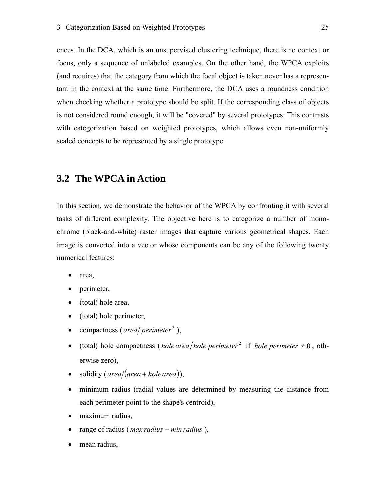<span id="page-24-0"></span>ences. In the DCA, which is an unsupervised clustering technique, there is no context or focus, only a sequence of unlabeled examples. On the other hand, the WPCA exploits (and requires) that the category from which the focal object is taken never has a representant in the context at the same time. Furthermore, the DCA uses a roundness condition when checking whether a prototype should be split. If the corresponding class of objects is not considered round enough, it will be "covered" by several prototypes. This contrasts with categorization based on weighted prototypes, which allows even non-uniformly scaled concepts to be represented by a single prototype.

#### **3.2 The WPCA in Action**

In this section, we demonstrate the behavior of the WPCA by confronting it with several tasks of different complexity. The objective here is to categorize a number of monochrome (black-and-white) raster images that capture various geometrical shapes. Each image is converted into a vector whose components can be any of the following twenty numerical features:

- area,
- perimeter,
- (total) hole area,
- (total) hole perimeter,
- compactness (*area perimeter*<sup>2</sup>),
- (total) hole compactness (*hole area*/*hole perimeter*<sup>2</sup> if *hole perimeter*  $\neq$  0, otherwise zero),
- solidity ( $area/(area + hole area)$ ),
- minimum radius (radial values are determined by measuring the distance from each perimeter point to the shape's centroid),
- maximum radius,
- range of radius (*max radius min radius*),
- mean radius,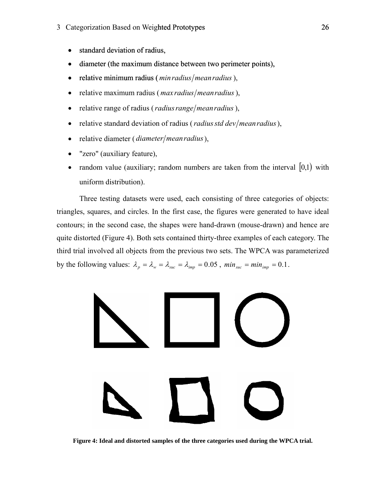#### 3 Categorization Based on Weighted Prototypes 26

- standard deviation of radius,
- diameter (the maximum distance between two perimeter points),
- relative minimum radius (*min radius* / *mean radius*),
- relative maximum radius (*max radius*/*mean radius*),
- relative range of radius (*radius range*/*meanradius*),
- relative standard deviation of radius (*radius std dev*/*mean radius*),
- relative diameter (*diameter*/*meanradius*),
- "zero" (auxiliary feature),
- random value (auxiliary; random numbers are taken from the interval  $[0,1)$  with uniform distribution).

Three testing datasets were used, each consisting of three categories of objects: triangles, squares, and circles. In the first case, the figures were generated to have ideal contours; in the second case, the shapes were hand-drawn (mouse-drawn) and hence are quite distorted (Figure 4). Both sets contained thirty-three examples of each category. The third trial involved all objects from the previous two sets. The WPCA was parameterized by the following values:  $\lambda_p = \lambda_w = \lambda_{suc} = \lambda_{imp} = 0.05$ ,  $min_{suc} = min_{imp} = 0.1$ .



**Figure 4: Ideal and distorted samples of the three categories used during the WPCA trial.**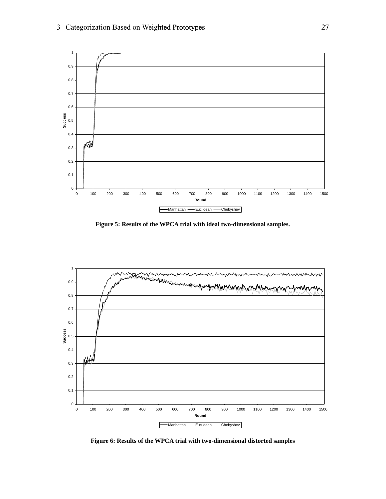

**Figure 5: Results of the WPCA trial with ideal two-dimensional samples.** 



**Figure 6: Results of the WPCA trial with two-dimensional distorted samples**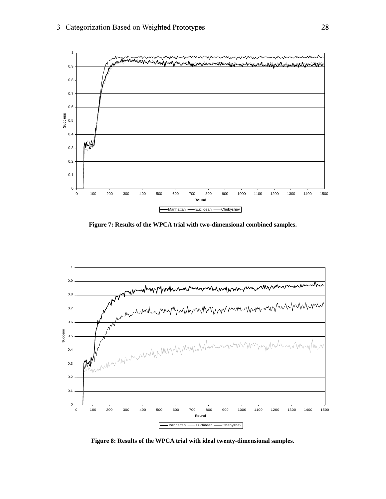

**Figure 7: Results of the WPCA trial with two-dimensional combined samples.** 



**Figure 8: Results of the WPCA trial with ideal twenty-dimensional samples.**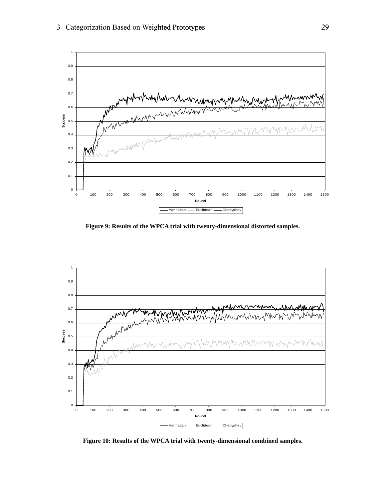

**Figure 9: Results of the WPCA trial with twenty-dimensional distorted samples.** 



**Figure 10: Results of the WPCA trial with twenty-dimensional combined samples.**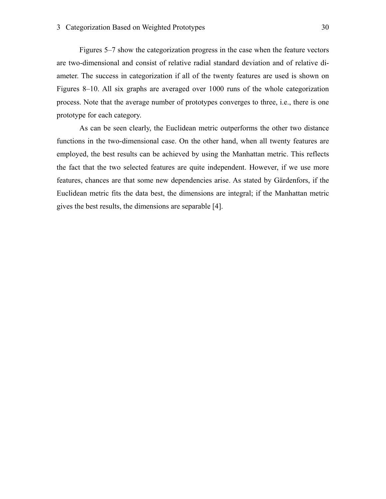Figures 5–7 show the categorization progress in the case when the feature vectors are two-dimensional and consist of relative radial standard deviation and of relative diameter. The success in categorization if all of the twenty features are used is shown on Figures 8–10. All six graphs are averaged over 1000 runs of the whole categorization process. Note that the average number of prototypes converges to three, i.e., there is one prototype for each category.

As can be seen clearly, the Euclidean metric outperforms the other two distance functions in the two-dimensional case. On the other hand, when all twenty features are employed, the best results can be achieved by using the Manhattan metric. This reflects the fact that the two selected features are quite independent. However, if we use more features, chances are that some new dependencies arise. As stated by Gärdenfors, if the Euclidean metric fits the data best, the dimensions are integral; if the Manhattan metric gives the best results, the dimensions are separable [\[4\].](#page-31-4)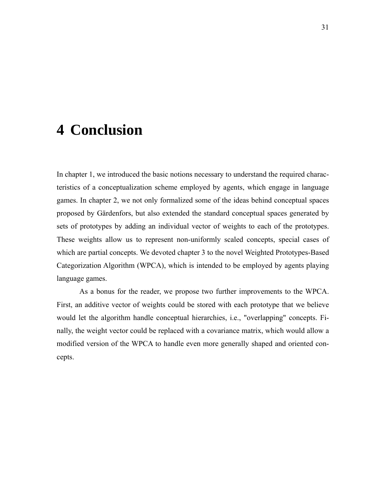## <span id="page-30-0"></span>**4 Conclusion**

In chapter [1](#page-5-1), we introduced the basic notions necessary to understand the required characteristics of a conceptualization scheme employed by agents, which engage in language games. In chapter [2,](#page-14-1) we not only formalized some of the ideas behind conceptual spaces proposed by Gärdenfors, but also extended the standard conceptual spaces generated by sets of prototypes by adding an individual vector of weights to each of the prototypes. These weights allow us to represent non-uniformly scaled concepts, special cases of which are partial concepts. We devoted chapter [3](#page-22-1) to the novel Weighted Prototypes-Based Categorization Algorithm (WPCA), which is intended to be employed by agents playing language games.

As a bonus for the reader, we propose two further improvements to the WPCA. First, an additive vector of weights could be stored with each prototype that we believe would let the algorithm handle conceptual hierarchies, i.e., "overlapping" concepts. Finally, the weight vector could be replaced with a covariance matrix, which would allow a modified version of the WPCA to handle even more generally shaped and oriented concepts.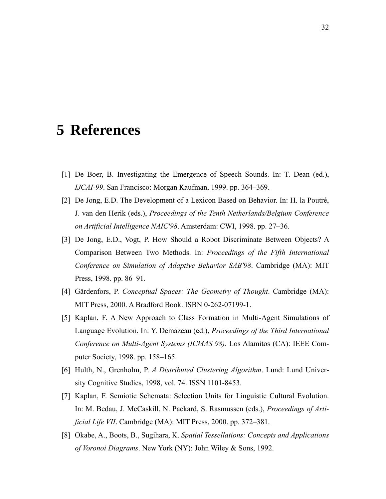### <span id="page-31-0"></span>**5 References**

- <span id="page-31-3"></span>[1] De Boer, B. Investigating the Emergence of Speech Sounds. In: T. Dean (ed.), *IJCAI-99*. San Francisco: Morgan Kaufman, 1999. pp. 364–369.
- <span id="page-31-2"></span>[2] De Jong, E.D. The Development of a Lexicon Based on Behavior. In: H. la Poutré, J. van den Herik (eds.), *Proceedings of the Tenth Netherlands/Belgium Conference on Artificial Intelligence NAIC'98*. Amsterdam: CWI, 1998. pp. 27–36.
- [3] De Jong, E.D., Vogt, P. How Should a Robot Discriminate Between Objects? A Comparison Between Two Methods. In: *Proceedings of the Fifth International Conference on Simulation of Adaptive Behavior SAB'98*. Cambridge (MA): MIT Press, 1998. pp. 86–91.
- <span id="page-31-4"></span>[4] Gärdenfors, P. *Conceptual Spaces: The Geometry of Thought*. Cambridge (MA): MIT Press, 2000. A Bradford Book. ISBN 0-262-07199-1.
- <span id="page-31-1"></span>[5] Kaplan, F. A New Approach to Class Formation in Multi-Agent Simulations of Language Evolution. In: Y. Demazeau (ed.), *Proceedings of the Third International Conference on Multi-Agent Systems (ICMAS 98)*. Los Alamitos (CA): IEEE Computer Society, 1998. pp. 158–165.
- <span id="page-31-6"></span>[6] Hulth, N., Grenholm, P. *A Distributed Clustering Algorithm*. Lund: Lund University Cognitive Studies, 1998, vol. 74. ISSN 1101-8453.
- [7] Kaplan, F. Semiotic Schemata: Selection Units for Linguistic Cultural Evolution. In: M. Bedau, J. McCaskill, N. Packard, S. Rasmussen (eds.), *Proceedings of Artificial Life VII*. Cambridge (MA): MIT Press, 2000. pp. 372–381.
- <span id="page-31-5"></span>[8] Okabe, A., Boots, B., Sugihara, K. *Spatial Tessellations: Concepts and Applications of Voronoi Diagrams*. New York (NY): John Wiley & Sons, 1992.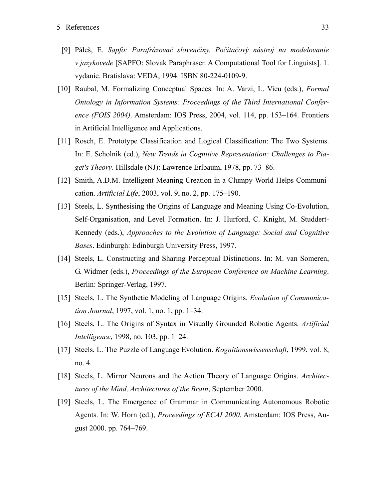- <span id="page-32-0"></span>[9] Páleš, E. *Sapfo: Parafrázovač slovenčiny. Počítačový nástroj na modelovanie v jazykovede* [SAPFO: Slovak Paraphraser. A Computational Tool for Linguists]. 1. vydanie. Bratislava: VEDA, 1994. ISBN 80-224-0109-9.
- <span id="page-32-8"></span>[10] Raubal, M. Formalizing Conceptual Spaces. In: A. Varzi, L. Vieu (eds.), *Formal Ontology in Information Systems: Proceedings of the Third International Conference (FOIS 2004)*. Amsterdam: IOS Press, 2004, vol. 114, pp. 153–164. Frontiers in Artificial Intelligence and Applications.
- <span id="page-32-7"></span>[11] Rosch, E. Prototype Classification and Logical Classification: The Two Systems. In: E. Scholnik (ed.), *New Trends in Cognitive Representation: Challenges to Piaget's Theory*. Hillsdale (NJ): Lawrence Erlbaum, 1978, pp. 73–86.
- [12] Smith, A.D.M. Intelligent Meaning Creation in a Clumpy World Helps Communication. *Artificial Life*, 2003, vol. 9, no. 2, pp. 175–190.
- <span id="page-32-3"></span>[13] Steels, L. Synthesising the Origins of Language and Meaning Using Co-Evolution, Self-Organisation, and Level Formation. In: J. Hurford, C. Knight, M. Studdert-Kennedy (eds.), *Approaches to the Evolution of Language: Social and Cognitive Bases*. Edinburgh: Edinburgh University Press, 1997.
- <span id="page-32-6"></span>[14] Steels, L. Constructing and Sharing Perceptual Distinctions. In: M. van Someren, G. Widmer (eds.), *Proceedings of the European Conference on Machine Learning*. Berlin: Springer-Verlag, 1997.
- <span id="page-32-1"></span>[15] Steels, L. The Synthetic Modeling of Language Origins. *Evolution of Communication Journal*, 1997, vol. 1, no. 1, pp. 1–34.
- <span id="page-32-4"></span>[16] Steels, L. The Origins of Syntax in Visually Grounded Robotic Agents. *Artificial Intelligence*, 1998, no. 103, pp. 1–24.
- <span id="page-32-2"></span>[17] Steels, L. The Puzzle of Language Evolution. *Kognitionswissenschaft*, 1999, vol. 8, no. 4.
- [18] Steels, L. Mirror Neurons and the Action Theory of Language Origins. *Architectures of the Mind, Architectures of the Brain*, September 2000.
- <span id="page-32-5"></span>[19] Steels, L. The Emergence of Grammar in Communicating Autonomous Robotic Agents. In: W. Horn (ed.), *Proceedings of ECAI 2000*. Amsterdam: IOS Press, August 2000. pp. 764–769.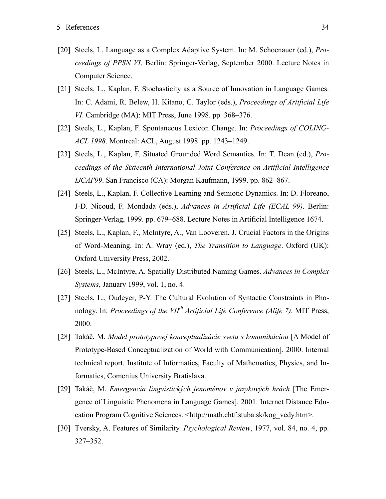- <span id="page-33-0"></span>[20] Steels, L. Language as a Complex Adaptive System. In: M. Schoenauer (ed.), *Proceedings of PPSN VI*. Berlin: Springer-Verlag, September 2000. Lecture Notes in Computer Science.
- <span id="page-33-2"></span>[21] Steels, L., Kaplan, F. Stochasticity as a Source of Innovation in Language Games. In: C. Adami, R. Belew, H. Kitano, C. Taylor (eds.), *Proceedings of Artificial Life VI*. Cambridge (MA): MIT Press, June 1998. pp. 368–376.
- <span id="page-33-3"></span>[22] Steels, L., Kaplan, F. Spontaneous Lexicon Change. In: *Proceedings of COLING-ACL 1998*. Montreal: ACL, August 1998. pp. 1243–1249.
- <span id="page-33-4"></span>[23] Steels, L., Kaplan, F. Situated Grounded Word Semantics. In: T. Dean (ed.), *Proceedings of the Sixteenth International Joint Conference on Artificial Intelligence IJCAI'99*. San Francisco (CA): Morgan Kaufmann, 1999. pp. 862–867.
- <span id="page-33-5"></span>[24] Steels, L., Kaplan, F. Collective Learning and Semiotic Dynamics. In: D. Floreano, J-D. Nicoud, F. Mondada (eds.), *Advances in Artificial Life (ECAL 99)*. Berlin: Springer-Verlag, 1999. pp. 679–688. Lecture Notes in Artificial Intelligence 1674.
- <span id="page-33-6"></span>[25] Steels, L., Kaplan, F., McIntyre, A., Van Looveren, J. Crucial Factors in the Origins of Word-Meaning. In: A. Wray (ed.), *The Transition to Language*. Oxford (UK): Oxford University Press, 2002.
- <span id="page-33-1"></span>[26] Steels, L., McIntyre, A. Spatially Distributed Naming Games. *Advances in Complex Systems*, January 1999, vol. 1, no. 4.
- <span id="page-33-7"></span>[27] Steels, L., Oudeyer, P-Y. The Cultural Evolution of Syntactic Constraints in Phonology. In: *Proceedings of the VIIth Artificial Life Conference (Alife 7)*. MIT Press, 2000.
- [28] Takáč, M. *Model prototypovej konceptualizácie sveta s komunikáciou* [A Model of Prototype-Based Conceptualization of World with Communication]. 2000. Internal technical report. Institute of Informatics, Faculty of Mathematics, Physics, and Informatics, Comenius University Bratislava.
- [29] Takáč, M. *Emergencia lingvistických fenoménov v jazykových hrách* [The Emergence of Linguistic Phenomena in Language Games]. 2001. Internet Distance Education Program Cognitive Sciences. <http://math.chtf.stuba.sk/kog\_vedy.htm>.
- <span id="page-33-8"></span>[30] Tversky, A. Features of Similarity. *Psychological Review*, 1977, vol. 84, no. 4, pp. 327–352.